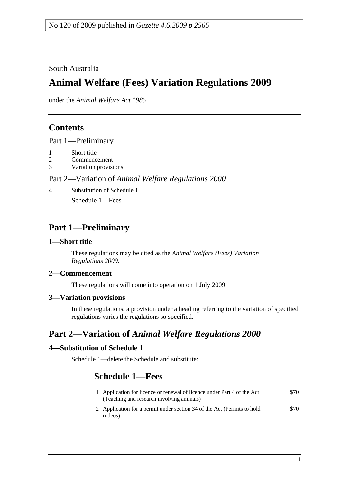South Australia

# **Animal Welfare (Fees) Variation Regulations 2009**

under the *Animal Welfare Act 1985*

### **Contents**

Part 1—Preliminary

- 1 Short title
- 2 Commencement
- 3 Variation provisions

#### Part 2—Variation of *Animal Welfare Regulations 2000*

4 Substitution of Schedule 1

Schedule 1—Fees

### **Part 1—Preliminary**

#### **1—Short title**

These regulations may be cited as the *Animal Welfare (Fees) Variation Regulations 2009*.

#### **2—Commencement**

These regulations will come into operation on 1 July 2009.

#### **3—Variation provisions**

In these regulations, a provision under a heading referring to the variation of specified regulations varies the regulations so specified.

## **Part 2—Variation of** *Animal Welfare Regulations 2000*

#### **4—Substitution of Schedule 1**

Schedule 1—delete the Schedule and substitute:

### **Schedule 1—Fees**

| 1 Application for licence or renewal of licence under Part 4 of the Act<br>(Teaching and research involving animals) | \$70. |
|----------------------------------------------------------------------------------------------------------------------|-------|
| 2 Application for a permit under section 34 of the Act (Permits to hold<br>rodeos)                                   | \$70. |